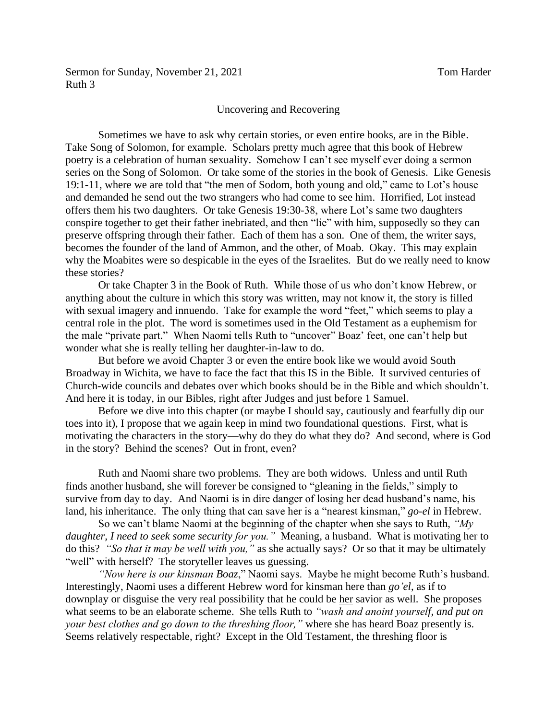Sermon for Sunday, November 21, 2021 Tom Harder Ruth 3

## Uncovering and Recovering

Sometimes we have to ask why certain stories, or even entire books, are in the Bible. Take Song of Solomon, for example. Scholars pretty much agree that this book of Hebrew poetry is a celebration of human sexuality. Somehow I can't see myself ever doing a sermon series on the Song of Solomon. Or take some of the stories in the book of Genesis. Like Genesis 19:1-11, where we are told that "the men of Sodom, both young and old," came to Lot's house and demanded he send out the two strangers who had come to see him. Horrified, Lot instead offers them his two daughters. Or take Genesis 19:30-38, where Lot's same two daughters conspire together to get their father inebriated, and then "lie" with him, supposedly so they can preserve offspring through their father. Each of them has a son. One of them, the writer says, becomes the founder of the land of Ammon, and the other, of Moab. Okay. This may explain why the Moabites were so despicable in the eyes of the Israelites. But do we really need to know these stories?

Or take Chapter 3 in the Book of Ruth. While those of us who don't know Hebrew, or anything about the culture in which this story was written, may not know it, the story is filled with sexual imagery and innuendo. Take for example the word "feet," which seems to play a central role in the plot. The word is sometimes used in the Old Testament as a euphemism for the male "private part." When Naomi tells Ruth to "uncover" Boaz' feet, one can't help but wonder what she is really telling her daughter-in-law to do.

But before we avoid Chapter 3 or even the entire book like we would avoid South Broadway in Wichita, we have to face the fact that this IS in the Bible. It survived centuries of Church-wide councils and debates over which books should be in the Bible and which shouldn't. And here it is today, in our Bibles, right after Judges and just before 1 Samuel.

Before we dive into this chapter (or maybe I should say, cautiously and fearfully dip our toes into it), I propose that we again keep in mind two foundational questions. First, what is motivating the characters in the story—why do they do what they do? And second, where is God in the story? Behind the scenes? Out in front, even?

Ruth and Naomi share two problems. They are both widows. Unless and until Ruth finds another husband, she will forever be consigned to "gleaning in the fields," simply to survive from day to day. And Naomi is in dire danger of losing her dead husband's name, his land, his inheritance. The only thing that can save her is a "nearest kinsman," *go-el* in Hebrew.

So we can't blame Naomi at the beginning of the chapter when she says to Ruth, *"My daughter, I need to seek some security for you."* Meaning, a husband. What is motivating her to do this? *"So that it may be well with you,"* as she actually says? Or so that it may be ultimately "well" with herself? The storyteller leaves us guessing.

*"Now here is our kinsman Boaz*," Naomi says. Maybe he might become Ruth's husband. Interestingly, Naomi uses a different Hebrew word for kinsman here than *go'el*, as if to downplay or disguise the very real possibility that he could be her savior as well. She proposes what seems to be an elaborate scheme. She tells Ruth to *"wash and anoint yourself, and put on your best clothes and go down to the threshing floor,"* where she has heard Boaz presently is. Seems relatively respectable, right? Except in the Old Testament, the threshing floor is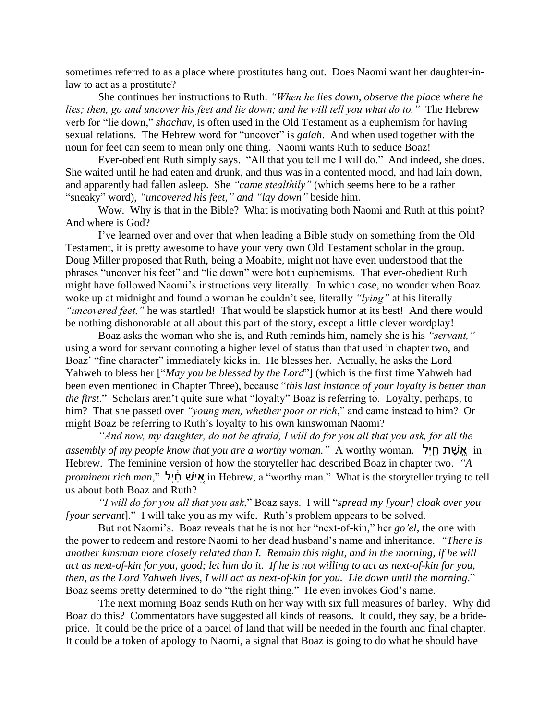sometimes referred to as a place where prostitutes hang out. Does Naomi want her daughter-inlaw to act as a prostitute?

She continues her instructions to Ruth: *"When he lies down, observe the place where he lies; then, go and uncover his feet and lie down; and he will tell you what do to."* The Hebrew verb for "lie down," *shachav*, is often used in the Old Testament as a euphemism for having sexual relations. The Hebrew word for "uncover" is *galah*. And when used together with the noun for feet can seem to mean only one thing. Naomi wants Ruth to seduce Boaz!

Ever-obedient Ruth simply says. "All that you tell me I will do." And indeed, she does. She waited until he had eaten and drunk, and thus was in a contented mood, and had lain down, and apparently had fallen asleep. She *"came stealthily"* (which seems here to be a rather "sneaky" word), *"uncovered his feet," and "lay down"* beside him.

Wow. Why is that in the Bible? What is motivating both Naomi and Ruth at this point? And where is God?

I've learned over and over that when leading a Bible study on something from the Old Testament, it is pretty awesome to have your very own Old Testament scholar in the group. Doug Miller proposed that Ruth, being a Moabite, might not have even understood that the phrases "uncover his feet" and "lie down" were both euphemisms. That ever-obedient Ruth might have followed Naomi's instructions very literally. In which case, no wonder when Boaz woke up at midnight and found a woman he couldn't see, literally *"lying"* at his literally *"uncovered feet,"* he was startled! That would be slapstick humor at its best! And there would be nothing dishonorable at all about this part of the story, except a little clever wordplay!

Boaz asks the woman who she is, and Ruth reminds him, namely she is his *"servant,"* using a word for servant connoting a higher level of status than that used in chapter two, and Boaz' "fine character" immediately kicks in. He blesses her. Actually, he asks the Lord Yahweh to bless her ["*May you be blessed by the Lord*"] (which is the first time Yahweh had been even mentioned in Chapter Three), because "*this last instance of your loyalty is better than the first*." Scholars aren't quite sure what "loyalty" Boaz is referring to. Loyalty, perhaps, to him? That she passed over *"young men, whether poor or rich*," and came instead to him? Or might Boaz be referring to Ruth's loyalty to his own kinswoman Naomi?

*"And now, my daughter, do not be afraid, I will do for you all that you ask, for all the assembly of my people know that you are a worthy woman."* A worthy woman. לִחיַ֖ שתֶׁ אֵ֥ in Hebrew. The feminine version of how the storyteller had described Boaz in chapter two. *"A prominent rich man*," אִישׁ הַׂיִל, in Hebrew, a "worthy man." What is the storyteller trying to tell us about both Boaz and Ruth?

*"I will do for you all that you ask*," Boaz says. I will "*spread my [your] cloak over you [your servant*]." I will take you as my wife. Ruth's problem appears to be solved.

But not Naomi's. Boaz reveals that he is not her "next-of-kin," her *go'el*, the one with the power to redeem and restore Naomi to her dead husband's name and inheritance. *"There is another kinsman more closely related than I. Remain this night, and in the morning, if he will act as next-of-kin for you, good; let him do it. If he is not willing to act as next-of-kin for you, then, as the Lord Yahweh lives, I will act as next-of-kin for you. Lie down until the morning*." Boaz seems pretty determined to do "the right thing." He even invokes God's name.

The next morning Boaz sends Ruth on her way with six full measures of barley. Why did Boaz do this? Commentators have suggested all kinds of reasons. It could, they say, be a brideprice. It could be the price of a parcel of land that will be needed in the fourth and final chapter. It could be a token of apology to Naomi, a signal that Boaz is going to do what he should have